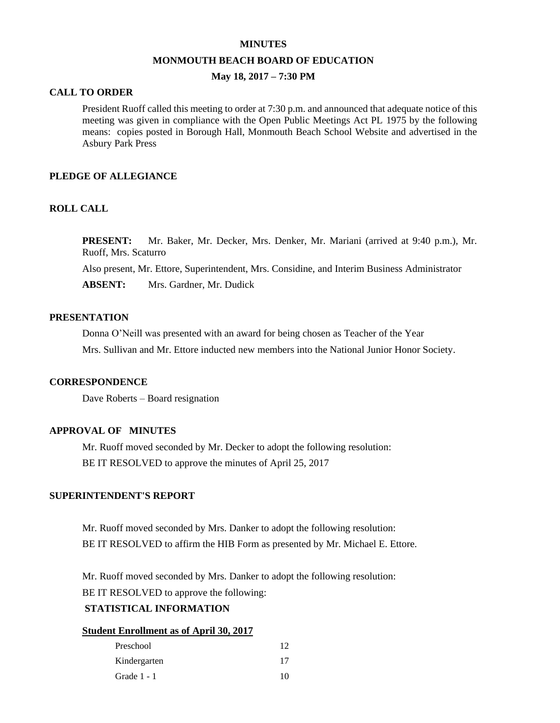#### **MINUTES**

#### **MONMOUTH BEACH BOARD OF EDUCATION**

# **May 18, 2017 – 7:30 PM**

### **CALL TO ORDER**

President Ruoff called this meeting to order at 7:30 p.m. and announced that adequate notice of this meeting was given in compliance with the Open Public Meetings Act PL 1975 by the following means: copies posted in Borough Hall, Monmouth Beach School Website and advertised in the Asbury Park Press

### **PLEDGE OF ALLEGIANCE**

# **ROLL CALL**

**PRESENT:** Mr. Baker, Mr. Decker, Mrs. Denker, Mr. Mariani (arrived at 9:40 p.m.), Mr. Ruoff, Mrs. Scaturro

Also present, Mr. Ettore, Superintendent, Mrs. Considine, and Interim Business Administrator

**ABSENT:** Mrs. Gardner, Mr. Dudick

## **PRESENTATION**

Donna O'Neill was presented with an award for being chosen as Teacher of the Year Mrs. Sullivan and Mr. Ettore inducted new members into the National Junior Honor Society.

#### **CORRESPONDENCE**

Dave Roberts – Board resignation

# **APPROVAL OF MINUTES**

Mr. Ruoff moved seconded by Mr. Decker to adopt the following resolution: BE IT RESOLVED to approve the minutes of April 25, 2017

# **SUPERINTENDENT'S REPORT**

Mr. Ruoff moved seconded by Mrs. Danker to adopt the following resolution: BE IT RESOLVED to affirm the HIB Form as presented by Mr. Michael E. Ettore.

Mr. Ruoff moved seconded by Mrs. Danker to adopt the following resolution:

BE IT RESOLVED to approve the following:

# **STATISTICAL INFORMATION**

#### **Student Enrollment as of April 30, 2017**

| Preschool    | 12 <sub>1</sub> |
|--------------|-----------------|
| Kindergarten | 17              |
| Grade 1 - 1  | 10              |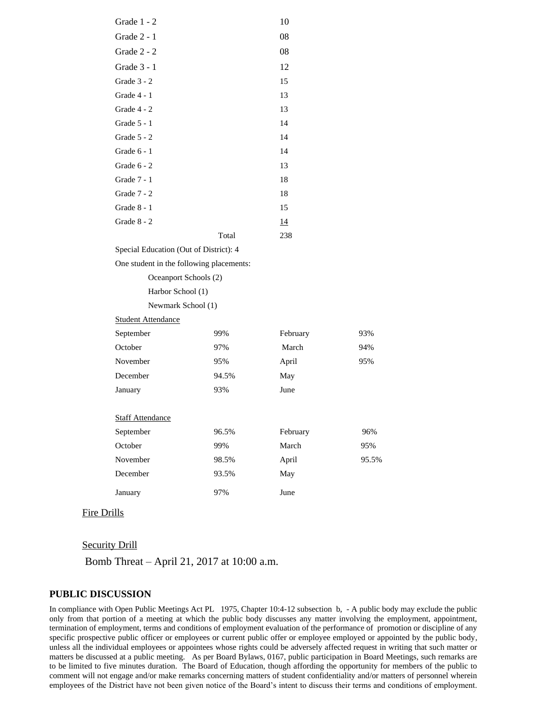| Grade 1 - 2                              |       | 10        |       |  |
|------------------------------------------|-------|-----------|-------|--|
| Grade 2 - 1                              |       | $08\,$    |       |  |
| Grade 2 - 2                              |       | 08        |       |  |
| Grade 3 - 1                              |       | 12        |       |  |
| Grade 3 - 2                              |       | 15        |       |  |
| Grade 4 - 1                              |       | 13        |       |  |
| Grade 4 - 2                              |       | 13        |       |  |
| Grade 5 - 1                              |       | 14        |       |  |
| Grade $5 - 2$                            |       | 14        |       |  |
| Grade 6 - 1                              |       | 14        |       |  |
| Grade 6 - 2                              |       | 13        |       |  |
| Grade 7 - 1                              |       | 18        |       |  |
| Grade 7 - 2                              |       | 18        |       |  |
| Grade $8-1$                              |       | 15        |       |  |
| Grade 8 - 2                              |       | <u>14</u> |       |  |
|                                          | Total | 238       |       |  |
| Special Education (Out of District): 4   |       |           |       |  |
| One student in the following placements: |       |           |       |  |
| Oceanport Schools (2)                    |       |           |       |  |
| Harbor School (1)                        |       |           |       |  |
| Newmark School (1)                       |       |           |       |  |
| <b>Student Attendance</b>                |       |           |       |  |
| September                                | 99%   | February  | 93%   |  |
| October                                  | 97%   | March     | 94%   |  |
| November                                 | 95%   | April     | 95%   |  |
| December                                 | 94.5% | May       |       |  |
| January                                  | 93%   | June      |       |  |
|                                          |       |           |       |  |
| <b>Staff Attendance</b>                  |       |           |       |  |
| September                                | 96.5% | February  | 96%   |  |
| October                                  | 99%   | March     | 95%   |  |
| November                                 | 98.5% | April     | 95.5% |  |
| December                                 | 93.5% | May       |       |  |
| January                                  | 97%   | June      |       |  |
|                                          |       |           |       |  |

# Fire Drills

### Security Drill

Bomb Threat – April 21, 2017 at 10:00 a.m.

## **PUBLIC DISCUSSION**

In compliance with Open Public Meetings Act PL 1975, Chapter 10:4-12 subsection b, - A public body may exclude the public only from that portion of a meeting at which the public body discusses any matter involving the employment, appointment, termination of employment, terms and conditions of employment evaluation of the performance of promotion or discipline of any specific prospective public officer or employees or current public offer or employee employed or appointed by the public body, unless all the individual employees or appointees whose rights could be adversely affected request in writing that such matter or matters be discussed at a public meeting. As per Board Bylaws, 0167, public participation in Board Meetings, such remarks are to be limited to five minutes duration. The Board of Education, though affording the opportunity for members of the public to comment will not engage and/or make remarks concerning matters of student confidentiality and/or matters of personnel wherein employees of the District have not been given notice of the Board's intent to discuss their terms and conditions of employment.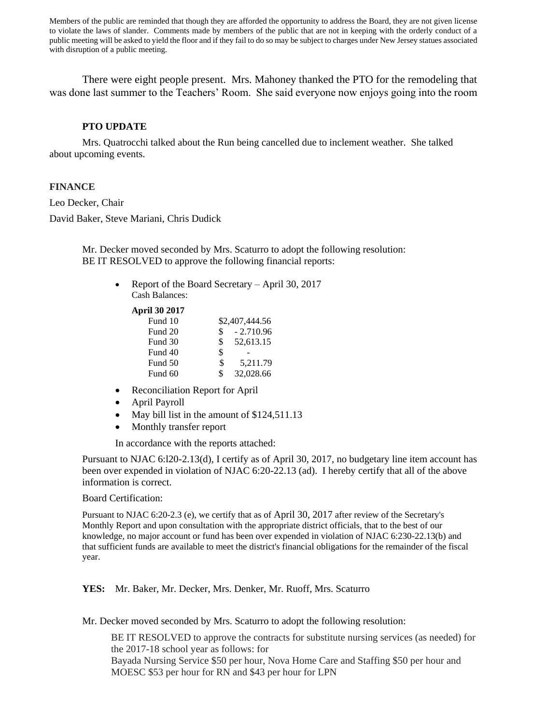Members of the public are reminded that though they are afforded the opportunity to address the Board, they are not given license to violate the laws of slander. Comments made by members of the public that are not in keeping with the orderly conduct of a public meeting will be asked to yield the floor and if they fail to do so may be subject to charges under New Jersey statues associated with disruption of a public meeting.

There were eight people present. Mrs. Mahoney thanked the PTO for the remodeling that was done last summer to the Teachers' Room. She said everyone now enjoys going into the room

## **PTO UPDATE**

Mrs. Quatrocchi talked about the Run being cancelled due to inclement weather. She talked about upcoming events.

## **FINANCE**

Leo Decker, Chair David Baker, Steve Mariani, Chris Dudick

> Mr. Decker moved seconded by Mrs. Scaturro to adopt the following resolution: BE IT RESOLVED to approve the following financial reports:

• Report of the Board Secretary – April 30, 2017 Cash Balances:

**April 30 2017**

| Fund 10 |    | \$2,407,444.56 |
|---------|----|----------------|
| Fund 20 | \$ | $-2.710.96$    |
| Fund 30 | \$ | 52,613.15      |
| Fund 40 | \$ |                |
| Fund 50 | S  | 5.211.79       |
| Fund 60 | \$ | 32,028.66      |

- Reconciliation Report for April
- April Payroll
- May bill list in the amount of \$124,511.13
- Monthly transfer report

In accordance with the reports attached:

Pursuant to NJAC 6:l20-2.13(d), I certify as of April 30, 2017, no budgetary line item account has been over expended in violation of NJAC 6:20-22.13 (ad). I hereby certify that all of the above information is correct.

### Board Certification:

Pursuant to NJAC 6:20-2.3 (e), we certify that as of April 30, 2017 after review of the Secretary's Monthly Report and upon consultation with the appropriate district officials, that to the best of our knowledge, no major account or fund has been over expended in violation of NJAC 6:230-22.13(b) and that sufficient funds are available to meet the district's financial obligations for the remainder of the fiscal year.

**YES:** Mr. Baker, Mr. Decker, Mrs. Denker, Mr. Ruoff, Mrs. Scaturro

Mr. Decker moved seconded by Mrs. Scaturro to adopt the following resolution:

BE IT RESOLVED to approve the contracts for substitute nursing services (as needed) for the 2017-18 school year as follows: for Bayada Nursing Service \$50 per hour, Nova Home Care and Staffing \$50 per hour and MOESC \$53 per hour for RN and \$43 per hour for LPN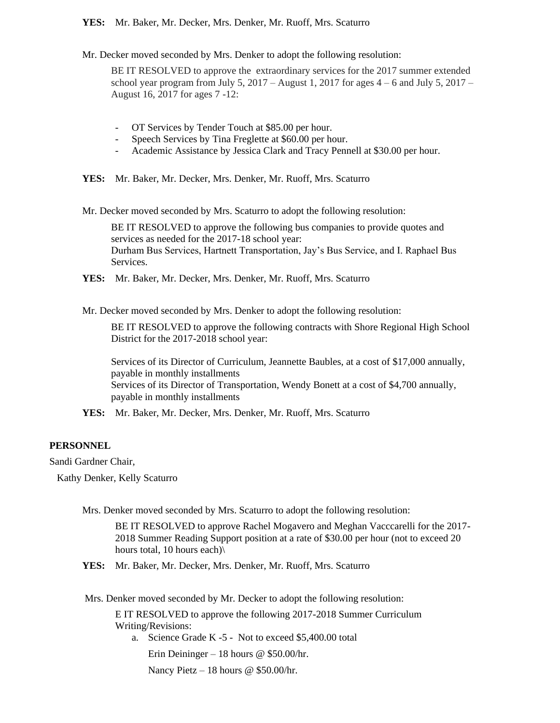### **YES:** Mr. Baker, Mr. Decker, Mrs. Denker, Mr. Ruoff, Mrs. Scaturro

Mr. Decker moved seconded by Mrs. Denker to adopt the following resolution:

BE IT RESOLVED to approve the extraordinary services for the 2017 summer extended school year program from July 5, 2017 – August 1, 2017 for ages  $4 - 6$  and July 5, 2017 – August 16, 2017 for ages 7 -12:

- OT Services by Tender Touch at \$85.00 per hour.
- Speech Services by Tina Freglette at \$60.00 per hour.
- Academic Assistance by Jessica Clark and Tracy Pennell at \$30.00 per hour.
- **YES:** Mr. Baker, Mr. Decker, Mrs. Denker, Mr. Ruoff, Mrs. Scaturro

Mr. Decker moved seconded by Mrs. Scaturro to adopt the following resolution:

BE IT RESOLVED to approve the following bus companies to provide quotes and services as needed for the 2017-18 school year: Durham Bus Services, Hartnett Transportation, Jay's Bus Service, and I. Raphael Bus Services.

**YES:** Mr. Baker, Mr. Decker, Mrs. Denker, Mr. Ruoff, Mrs. Scaturro

Mr. Decker moved seconded by Mrs. Denker to adopt the following resolution:

BE IT RESOLVED to approve the following contracts with Shore Regional High School District for the 2017-2018 school year:

Services of its Director of Curriculum, Jeannette Baubles, at a cost of \$17,000 annually, payable in monthly installments Services of its Director of Transportation, Wendy Bonett at a cost of \$4,700 annually, payable in monthly installments

**YES:** Mr. Baker, Mr. Decker, Mrs. Denker, Mr. Ruoff, Mrs. Scaturro

# **PERSONNEL**

Sandi Gardner Chair,

Kathy Denker, Kelly Scaturro

Mrs. Denker moved seconded by Mrs. Scaturro to adopt the following resolution:

BE IT RESOLVED to approve Rachel Mogavero and Meghan Vacccarelli for the 2017- 2018 Summer Reading Support position at a rate of \$30.00 per hour (not to exceed 20 hours total, 10 hours each)\

**YES:** Mr. Baker, Mr. Decker, Mrs. Denker, Mr. Ruoff, Mrs. Scaturro

Mrs. Denker moved seconded by Mr. Decker to adopt the following resolution:

E IT RESOLVED to approve the following 2017-2018 Summer Curriculum Writing/Revisions:

a. Science Grade K -5 - Not to exceed \$5,400.00 total

Erin Deininger – 18 hours @ \$50.00/hr.

Nancy Pietz – 18 hours @ \$50.00/hr.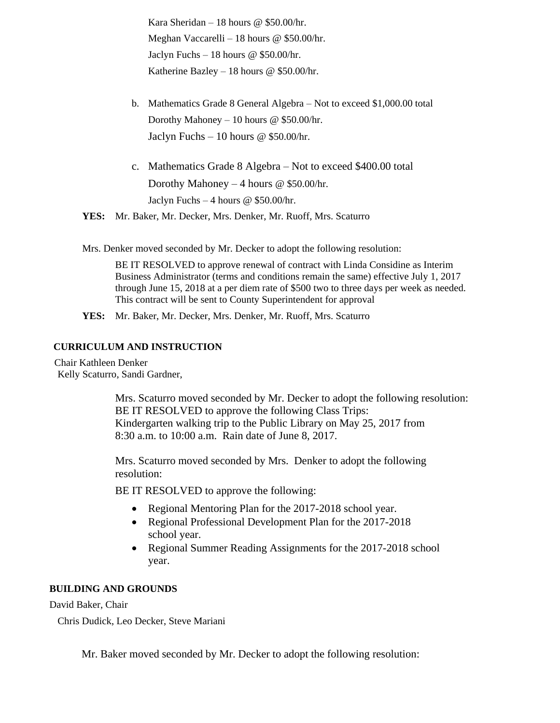Kara Sheridan – 18 hours @ \$50.00/hr. Meghan Vaccarelli – 18 hours @ \$50.00/hr. Jaclyn Fuchs – 18 hours  $@$  \$50.00/hr. Katherine Bazley – 18 hours @ \$50.00/hr.

- b. Mathematics Grade 8 General Algebra Not to exceed \$1,000.00 total Dorothy Mahoney – 10 hours @ \$50.00/hr. Jaclyn Fuchs – 10 hours  $\omega$  \$50.00/hr.
- c. Mathematics Grade 8 Algebra Not to exceed \$400.00 total Dorothy Mahoney – 4 hours @ \$50.00/hr. Jaclyn Fuchs – 4 hours @ \$50.00/hr.
- **YES:** Mr. Baker, Mr. Decker, Mrs. Denker, Mr. Ruoff, Mrs. Scaturro

Mrs. Denker moved seconded by Mr. Decker to adopt the following resolution:

BE IT RESOLVED to approve renewal of contract with Linda Considine as Interim Business Administrator (terms and conditions remain the same) effective July 1, 2017 through June 15, 2018 at a per diem rate of \$500 two to three days per week as needed. This contract will be sent to County Superintendent for approval

**YES:** Mr. Baker, Mr. Decker, Mrs. Denker, Mr. Ruoff, Mrs. Scaturro

# **CURRICULUM AND INSTRUCTION**

Chair Kathleen Denker Kelly Scaturro, Sandi Gardner,

> Mrs. Scaturro moved seconded by Mr. Decker to adopt the following resolution: BE IT RESOLVED to approve the following Class Trips: Kindergarten walking trip to the Public Library on May 25, 2017 from 8:30 a.m. to 10:00 a.m. Rain date of June 8, 2017.

Mrs. Scaturro moved seconded by Mrs. Denker to adopt the following resolution:

BE IT RESOLVED to approve the following:

- Regional Mentoring Plan for the 2017-2018 school year.
- Regional Professional Development Plan for the 2017-2018 school year.
- Regional Summer Reading Assignments for the 2017-2018 school year.

### **BUILDING AND GROUNDS**

David Baker, Chair

Chris Dudick, Leo Decker, Steve Mariani

Mr. Baker moved seconded by Mr. Decker to adopt the following resolution: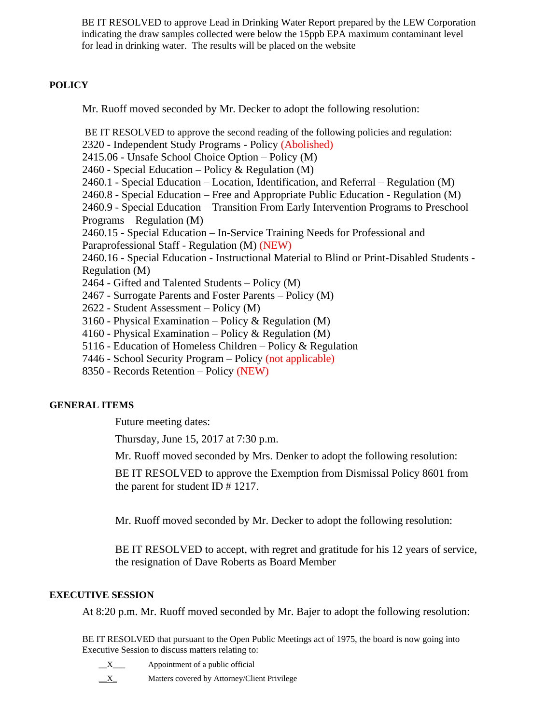BE IT RESOLVED to approve Lead in Drinking Water Report prepared by the LEW Corporation indicating the draw samples collected were below the 15ppb EPA maximum contaminant level for lead in drinking water. The results will be placed on the website

# **POLICY**

Mr. Ruoff moved seconded by Mr. Decker to adopt the following resolution:

BE IT RESOLVED to approve the second reading of the following policies and regulation: 2320 - Independent Study Programs - Policy (Abolished) 2415.06 - Unsafe School Choice Option – Policy (M) 2460 - Special Education – Policy & Regulation (M) 2460.1 - Special Education – Location, Identification, and Referral – Regulation (M) 2460.8 - Special Education – Free and Appropriate Public Education - Regulation (M) 2460.9 - Special Education – Transition From Early Intervention Programs to Preschool Programs – Regulation (M) 2460.15 - Special Education – In-Service Training Needs for Professional and Paraprofessional Staff - Regulation (M) (NEW) 2460.16 - Special Education - Instructional Material to Blind or Print-Disabled Students - Regulation (M) 2464 - Gifted and Talented Students – Policy (M) 2467 - Surrogate Parents and Foster Parents – Policy (M) 2622 - Student Assessment – Policy (M) 3160 - Physical Examination – Policy & Regulation (M) 4160 - Physical Examination – Policy & Regulation (M) 5116 - Education of Homeless Children – Policy & Regulation 7446 - School Security Program – Policy (not applicable) 8350 - Records Retention – Policy (NEW)

# **GENERAL ITEMS**

Future meeting dates:

Thursday, June 15, 2017 at 7:30 p.m.

Mr. Ruoff moved seconded by Mrs. Denker to adopt the following resolution:

BE IT RESOLVED to approve the Exemption from Dismissal Policy 8601 from the parent for student ID # 1217.

Mr. Ruoff moved seconded by Mr. Decker to adopt the following resolution:

BE IT RESOLVED to accept, with regret and gratitude for his 12 years of service, the resignation of Dave Roberts as Board Member

# **EXECUTIVE SESSION**

At 8:20 p.m. Mr. Ruoff moved seconded by Mr. Bajer to adopt the following resolution:

BE IT RESOLVED that pursuant to the Open Public Meetings act of 1975, the board is now going into Executive Session to discuss matters relating to:

\_\_X\_\_\_ Appointment of a public official  $\underline{X}$  Matters covered by Attorney/Client Privilege